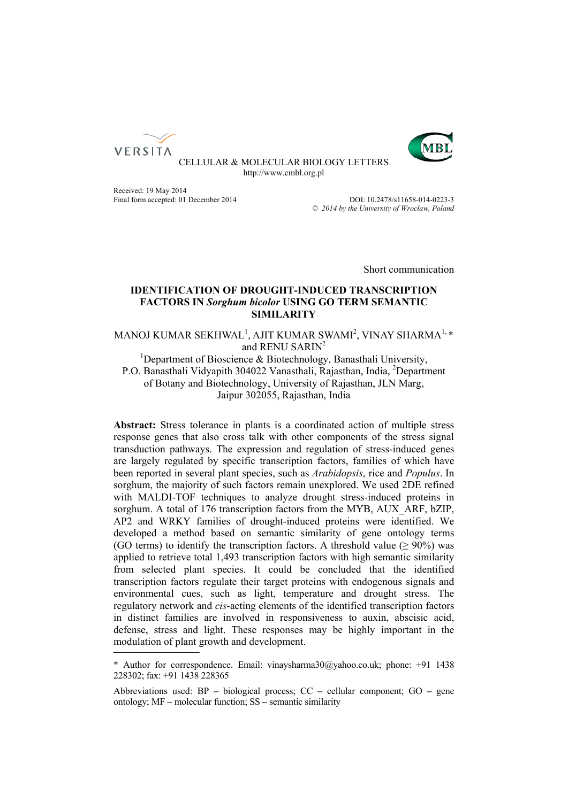



CELLULAR & MOLECULAR BIOLOGY LETTERS http://www.cmbl.org.pl

Received: 19 May 2014<br>
Final form accepted: 01 December 2014<br>  $D$ OI: 10.2478/s11658-014-0223-3 Final form accepted: 01 December 2014

Published online: *© 2014 by the University of Wrocław, Poland*

Short communication

# **IDENTIFICATION OF DROUGHT-INDUCED TRANSCRIPTION FACTORS IN** *Sorghum bicolor* **USING GO TERM SEMANTIC SIMILARITY**

MANOJ KUMAR SEKHWAL<sup>1</sup>, AJIT KUMAR SWAMI<sup>2</sup>, VINAY SHARMA<sup>1,</sup> \* and RENU SARIN<sup>2</sup>

and RENU SARIN<sup>2</sup><br><sup>1</sup>Department of Bioscience & Biotechnology, Banasthali University, P.O. Banasthali Vidyapith 304022 Vanasthali, Rajasthan, India, <sup>2</sup>Department of Botany and Biotechnology, University of Rajasthan, JLN Marg, Jaipur 302055, Rajasthan, India

**Abstract:** Stress tolerance in plants is a coordinated action of multiple stress response genes that also cross talk with other components of the stress signal transduction pathways. The expression and regulation of stress-induced genes are largely regulated by specific transcription factors, families of which have been reported in several plant species, such as *Arabidopsis*, rice and *Populus*. In sorghum, the majority of such factors remain unexplored. We used 2DE refined with MALDI-TOF techniques to analyze drought stress-induced proteins in sorghum. A total of 176 transcription factors from the MYB, AUX ARF, bZIP, AP2 and WRKY families of drought-induced proteins were identified. We developed a method based on semantic similarity of gene ontology terms (GO terms) to identify the transcription factors. A threshold value ( $\geq 90\%$ ) was applied to retrieve total 1,493 transcription factors with high semantic similarity from selected plant species. It could be concluded that the identified transcription factors regulate their target proteins with endogenous signals and environmental cues, such as light, temperature and drought stress. The regulatory network and *cis*-acting elements of the identified transcription factors in distinct families are involved in responsiveness to auxin, abscisic acid, defense, stress and light. These responses may be highly important in the modulation of plant growth and development.

<sup>\*</sup> Author for correspondence. Email: vinaysharma30@yahoo.co.uk; phone: +91 1438 228302; fax: +91 1438 228365

Abbreviations used: BP **–** biological process; CC **–** cellular component; GO **–** gene ontology; MF **–** molecular function; SS **–** semantic similarity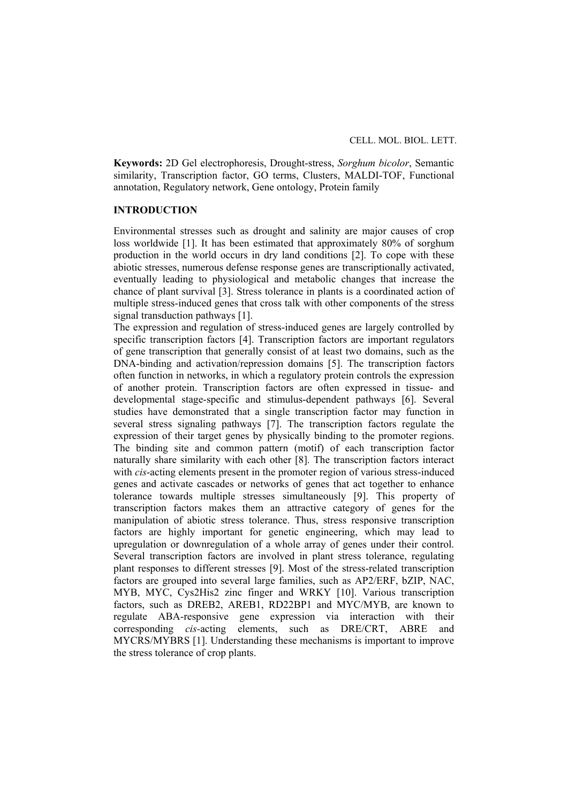**Keywords:** 2D Gel electrophoresis, Drought-stress, *Sorghum bicolor*, Semantic similarity, Transcription factor, GO terms, Clusters, MALDI-TOF, Functional annotation, Regulatory network, Gene ontology, Protein family

# **INTRODUCTION**

Environmental stresses such as drought and salinity are major causes of crop loss worldwide [1]. It has been estimated that approximately 80% of sorghum production in the world occurs in dry land conditions [2]. To cope with these abiotic stresses, numerous defense response genes are transcriptionally activated, eventually leading to physiological and metabolic changes that increase the chance of plant survival [3]. Stress tolerance in plants is a coordinated action of multiple stress-induced genes that cross talk with other components of the stress signal transduction pathways [1].

The expression and regulation of stress-induced genes are largely controlled by specific transcription factors [4]. Transcription factors are important regulators of gene transcription that generally consist of at least two domains, such as the DNA-binding and activation/repression domains [5]. The transcription factors often function in networks, in which a regulatory protein controls the expression of another protein. Transcription factors are often expressed in tissue- and developmental stage-specific and stimulus-dependent pathways [6]. Several studies have demonstrated that a single transcription factor may function in several stress signaling pathways [7]. The transcription factors regulate the expression of their target genes by physically binding to the promoter regions. The binding site and common pattern (motif) of each transcription factor naturally share similarity with each other [8]. The transcription factors interact with *cis*-acting elements present in the promoter region of various stress-induced genes and activate cascades or networks of genes that act together to enhance tolerance towards multiple stresses simultaneously [9]. This property of transcription factors makes them an attractive category of genes for the manipulation of abiotic stress tolerance. Thus, stress responsive transcription factors are highly important for genetic engineering, which may lead to upregulation or downregulation of a whole array of genes under their control. Several transcription factors are involved in plant stress tolerance, regulating plant responses to different stresses [9]. Most of the stress-related transcription factors are grouped into several large families, such as AP2/ERF, bZIP, NAC, MYB, MYC, Cys2His2 zinc finger and WRKY [10]. Various transcription factors, such as DREB2, AREB1, RD22BP1 and MYC/MYB, are known to regulate ABA-responsive gene expression via interaction with their corresponding *cis-*acting elements, such as DRE/CRT, ABRE and MYCRS/MYBRS [1]. Understanding these mechanisms is important to improve the stress tolerance of crop plants.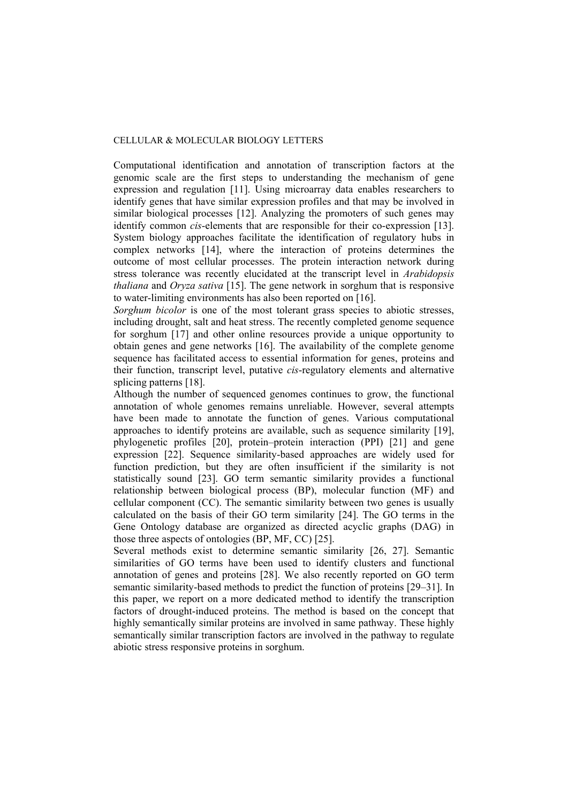Computational identification and annotation of transcription factors at the genomic scale are the first steps to understanding the mechanism of gene expression and regulation [11]. Using microarray data enables researchers to identify genes that have similar expression profiles and that may be involved in similar biological processes [12]. Analyzing the promoters of such genes may identify common *cis*-elements that are responsible for their co-expression [13]. System biology approaches facilitate the identification of regulatory hubs in complex networks [14], where the interaction of proteins determines the outcome of most cellular processes. The protein interaction network during stress tolerance was recently elucidated at the transcript level in *Arabidopsis thaliana* and *Oryza sativa* [15]. The gene network in sorghum that is responsive to water-limiting environments has also been reported on [16].

*Sorghum bicolor* is one of the most tolerant grass species to abiotic stresses, including drought, salt and heat stress. The recently completed genome sequence for sorghum [17] and other online resources provide a unique opportunity to obtain genes and gene networks [16]. The availability of the complete genome sequence has facilitated access to essential information for genes, proteins and their function, transcript level, putative *cis*-regulatory elements and alternative splicing patterns [18].

Although the number of sequenced genomes continues to grow, the functional annotation of whole genomes remains unreliable. However, several attempts have been made to annotate the function of genes. Various computational approaches to identify proteins are available, such as sequence similarity [19], phylogenetic profiles [20], protein–protein interaction (PPI) [21] and gene expression [22]. Sequence similarity-based approaches are widely used for function prediction, but they are often insufficient if the similarity is not statistically sound [23]. GO term semantic similarity provides a functional relationship between biological process (BP), molecular function (MF) and cellular component (CC). The semantic similarity between two genes is usually calculated on the basis of their GO term similarity [24]. The GO terms in the Gene Ontology database are organized as directed acyclic graphs (DAG) in those three aspects of ontologies (BP, MF, CC) [25].

Several methods exist to determine semantic similarity [26, 27]. Semantic similarities of GO terms have been used to identify clusters and functional annotation of genes and proteins [28]. We also recently reported on GO term semantic similarity-based methods to predict the function of proteins [29–31]. In this paper, we report on a more dedicated method to identify the transcription factors of drought-induced proteins. The method is based on the concept that highly semantically similar proteins are involved in same pathway. These highly semantically similar transcription factors are involved in the pathway to regulate abiotic stress responsive proteins in sorghum.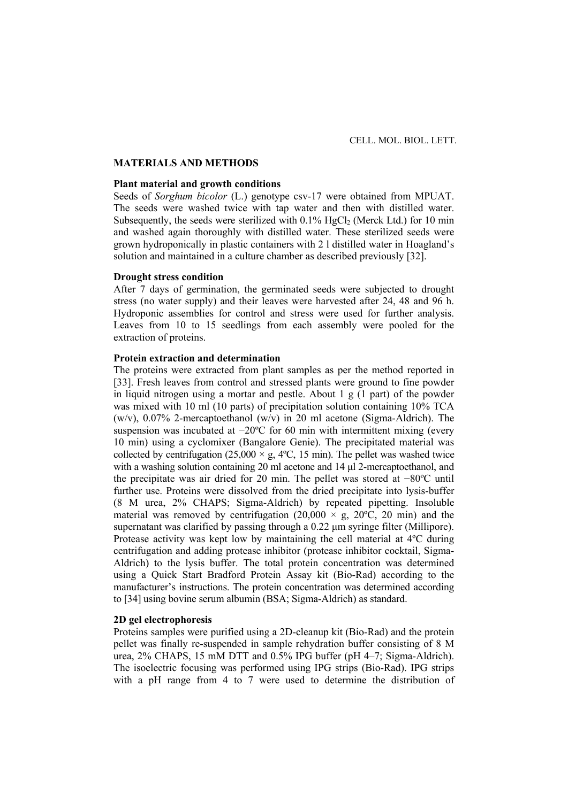### **MATERIALS AND METHODS**

## **Plant material and growth conditions**

Seeds of *Sorghum bicolor* (L.) genotype csv-17 were obtained from MPUAT. The seeds were washed twice with tap water and then with distilled water. Subsequently, the seeds were sterilized with  $0.1\%$  HgCl<sub>2</sub> (Merck Ltd.) for 10 min and washed again thoroughly with distilled water. These sterilized seeds were grown hydroponically in plastic containers with 2 l distilled water in Hoagland's solution and maintained in a culture chamber as described previously [32].

# **Drought stress condition**

After 7 days of germination, the germinated seeds were subjected to drought stress (no water supply) and their leaves were harvested after 24, 48 and 96 h. Hydroponic assemblies for control and stress were used for further analysis. Leaves from 10 to 15 seedlings from each assembly were pooled for the extraction of proteins.

# **Protein extraction and determination**

The proteins were extracted from plant samples as per the method reported in [33]. Fresh leaves from control and stressed plants were ground to fine powder in liquid nitrogen using a mortar and pestle. About 1 g (1 part) of the powder was mixed with 10 ml (10 parts) of precipitation solution containing 10% TCA (w/v),  $0.07\%$  2-mercaptoethanol (w/v) in 20 ml acetone (Sigma-Aldrich). The suspension was incubated at −20°C for 60 min with intermittent mixing (every 10 min) using a cyclomixer (Bangalore Genie). The precipitated material was collected by centrifugation (25,000  $\times$  g, 4°C, 15 min). The pellet was washed twice with a washing solution containing 20 ml acetone and 14 μl 2-mercaptoethanol, and the precipitate was air dried for 20 min. The pellet was stored at −80ºC until further use. Proteins were dissolved from the dried precipitate into lysis-buffer (8 M urea, 2% CHAPS; Sigma-Aldrich) by repeated pipetting. Insoluble material was removed by centrifugation  $(20,000 \times g, 20^{\circ}C, 20 \text{ min})$  and the supernatant was clarified by passing through a 0.22 μm syringe filter (Millipore). Protease activity was kept low by maintaining the cell material at 4ºC during centrifugation and adding protease inhibitor (protease inhibitor cocktail, Sigma-Aldrich) to the lysis buffer. The total protein concentration was determined using a Quick Start Bradford Protein Assay kit (Bio-Rad) according to the manufacturer's instructions. The protein concentration was determined according to [34] using bovine serum albumin (BSA; Sigma-Aldrich) as standard.

# **2D gel electrophoresis**

Proteins samples were purified using a 2D-cleanup kit (Bio-Rad) and the protein pellet was finally re-suspended in sample rehydration buffer consisting of 8 M urea, 2% CHAPS, 15 mM DTT and 0.5% IPG buffer (pH 4–7; Sigma-Aldrich). The isoelectric focusing was performed using IPG strips (Bio-Rad). IPG strips with a pH range from 4 to 7 were used to determine the distribution of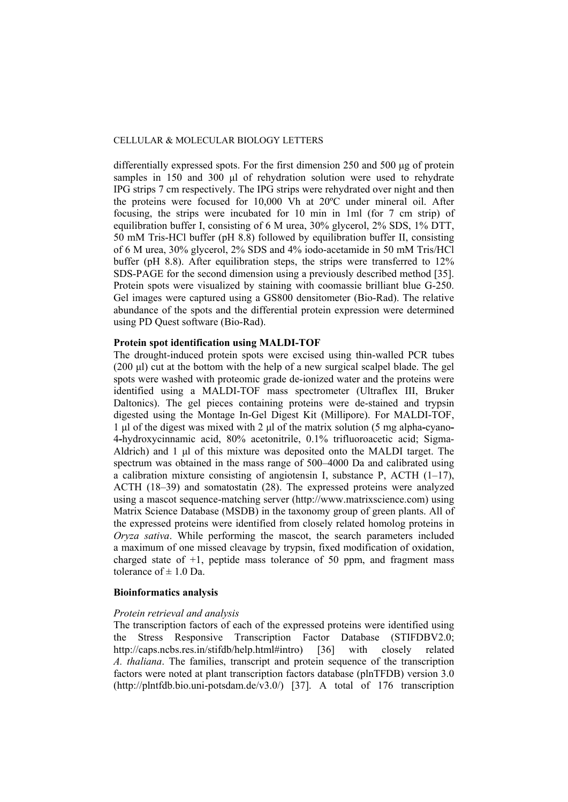differentially expressed spots. For the first dimension 250 and 500 μg of protein samples in 150 and 300 μl of rehydration solution were used to rehydrate IPG strips 7 cm respectively. The IPG strips were rehydrated over night and then the proteins were focused for 10,000 Vh at 20ºC under mineral oil. After focusing, the strips were incubated for 10 min in 1ml (for 7 cm strip) of equilibration buffer I, consisting of 6 M urea, 30% glycerol, 2% SDS, 1% DTT, 50 mM Tris-HCl buffer (pH 8.8) followed by equilibration buffer II, consisting of 6 M urea, 30% glycerol, 2% SDS and 4% iodo-acetamide in 50 mM Tris/HCl buffer (pH 8.8). After equilibration steps, the strips were transferred to 12% SDS-PAGE for the second dimension using a previously described method [35]. Protein spots were visualized by staining with coomassie brilliant blue G-250. Gel images were captured using a GS800 densitometer (Bio-Rad). The relative abundance of the spots and the differential protein expression were determined using PD Quest software (Bio-Rad).

# **Protein spot identification using MALDI-TOF**

The drought-induced protein spots were excised using thin-walled PCR tubes (200 μl) cut at the bottom with the help of a new surgical scalpel blade. The gel spots were washed with proteomic grade de-ionized water and the proteins were identified using a MALDI-TOF mass spectrometer (Ultraflex III, Bruker Daltonics). The gel pieces containing proteins were de-stained and trypsin digested using the Montage In-Gel Digest Kit (Millipore). For MALDI-TOF, 1 μl of the digest was mixed with 2 μl of the matrix solution (5 mg alpha**-**cyano**-**4**-**hydroxycinnamic acid, 80% acetonitrile, 0.1% trifluoroacetic acid; Sigma-Aldrich) and 1 μl of this mixture was deposited onto the MALDI target. The spectrum was obtained in the mass range of 500–4000 Da and calibrated using a calibration mixture consisting of angiotensin I, substance P, ACTH  $(1-17)$ , ACTH (18–39) and somatostatin (28). The expressed proteins were analyzed using a mascot sequence-matching server (http://www.matrixscience.com) using Matrix Science Database (MSDB) in the taxonomy group of green plants. All of the expressed proteins were identified from closely related homolog proteins in *Oryza sativa*. While performing the mascot, the search parameters included a maximum of one missed cleavage by trypsin, fixed modification of oxidation, charged state of  $+1$ , peptide mass tolerance of 50 ppm, and fragment mass tolerance of  $\pm 1.0$  Da.

### **Bioinformatics analysis**

### *Protein retrieval and analysis*

The transcription factors of each of the expressed proteins were identified using the Stress Responsive Transcription Factor Database (STIFDBV2.0; http://caps.ncbs.res.in/stifdb/help.html#intro) [36] with closely related *A. thaliana*. The families, transcript and protein sequence of the transcription factors were noted at plant transcription factors database (plnTFDB) version 3.0 (http://plntfdb.bio.uni-potsdam.de/v3.0/) [37]. A total of 176 transcription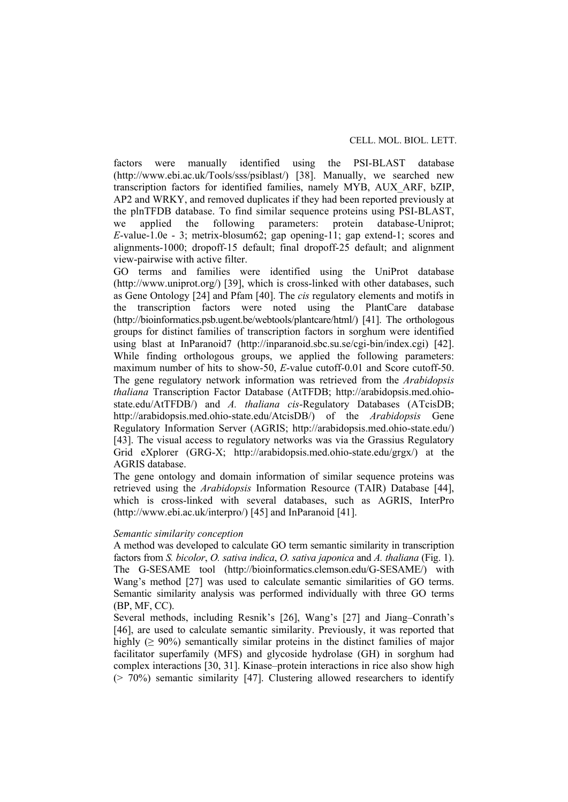factors were manually identified using the PSI-BLAST database (http://www.ebi.ac.uk/Tools/sss/psiblast/) [38]. Manually, we searched new transcription factors for identified families, namely MYB, AUX\_ARF, bZIP, AP2 and WRKY, and removed duplicates if they had been reported previously at the plnTFDB database. To find similar sequence proteins using PSI-BLAST, we applied the following parameters: protein database-Uniprot; *E*-value-1.0e - 3; metrix-blosum62; gap opening-11; gap extend-1; scores and alignments-1000; dropoff-15 default; final dropoff-25 default; and alignment view-pairwise with active filter.

GO terms and families were identified using the UniProt database (http://www.uniprot.org/) [39], which is cross-linked with other databases, such as Gene Ontology [24] and Pfam [40]. The *cis* regulatory elements and motifs in the transcription factors were noted using the PlantCare database (http://bioinformatics.psb.ugent.be/webtools/plantcare/html/) [41]. The orthologous groups for distinct families of transcription factors in sorghum were identified using blast at InParanoid7 (http://inparanoid.sbc.su.se/cgi-bin/index.cgi) [42]. While finding orthologous groups, we applied the following parameters: maximum number of hits to show-50, *E*-value cutoff-0.01 and Score cutoff-50. The gene regulatory network information was retrieved from the *Arabidopsis thaliana* Transcription Factor Database (AtTFDB; http://arabidopsis.med.ohiostate.edu/AtTFDB/) and *A. thaliana cis*-Regulatory Databases (ATcisDB; http://arabidopsis.med.ohio-state.edu/AtcisDB/) of the *Arabidopsis* Gene Regulatory Information Server (AGRIS; http://arabidopsis.med.ohio-state.edu/) [43]. The visual access to regulatory networks was via the Grassius Regulatory Grid eXplorer (GRG-X; http://arabidopsis.med.ohio-state.edu/grgx/) at the AGRIS database.

The gene ontology and domain information of similar sequence proteins was retrieved using the *Arabidopsis* Information Resource (TAIR) Database [44], which is cross-linked with several databases, such as AGRIS, InterPro (http://www.ebi.ac.uk/interpro/) [45] and InParanoid [41].

# *Semantic similarity conception*

A method was developed to calculate GO term semantic similarity in transcription factors from *S. bicolor*, *O. sativa indica*, *O. sativa japonica* and *A. thaliana* (Fig. 1). The G-SESAME tool (http://bioinformatics.clemson.edu/G-SESAME/) with Wang's method [27] was used to calculate semantic similarities of GO terms. Semantic similarity analysis was performed individually with three GO terms (BP, MF, CC).

Several methods, including Resnik's [26], Wang's [27] and Jiang–Conrath's [46], are used to calculate semantic similarity. Previously, it was reported that highly ( $\geq 90\%$ ) semantically similar proteins in the distinct families of major facilitator superfamily (MFS) and glycoside hydrolase (GH) in sorghum had complex interactions [30, 31]. Kinase–protein interactions in rice also show high  $(2, 70%)$  semantic similarity [47]. Clustering allowed researchers to identify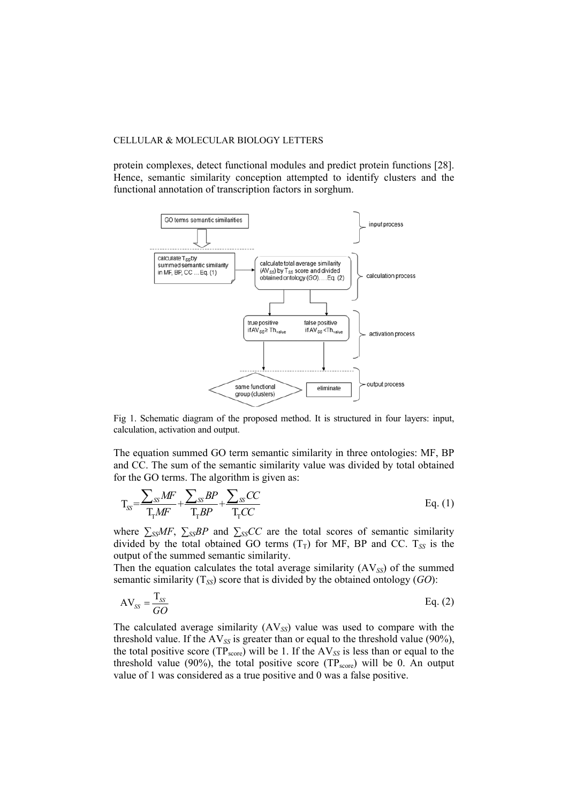protein complexes, detect functional modules and predict protein functions [28]. Hence, semantic similarity conception attempted to identify clusters and the functional annotation of transcription factors in sorghum.



Fig 1. Schematic diagram of the proposed method. It is structured in four layers: input, calculation, activation and output.

The equation summed GO term semantic similarity in three ontologies: MF, BP and CC. The sum of the semantic similarity value was divided by total obtained for the GO terms. The algorithm is given as:

$$
T_{SS} = \frac{\sum_{SS} MF}{T_{T}MF} + \frac{\sum_{SS} BP}{T_{T}BP} + \frac{\sum_{SS} CC}{T_{T}CC}
$$
 Eq. (1)

where  $\sum_{SS} MF$ ,  $\sum_{SS} BP$  and  $\sum_{SS} CC$  are the total scores of semantic similarity divided by the total obtained GO terms  $(T_T)$  for MF, BP and CC.  $T_{SS}$  is the output of the summed semantic similarity.

Then the equation calculates the total average similarity  $(AV_{SS})$  of the summed semantic similarity (T*SS*) score that is divided by the obtained ontology (*GO*):

$$
AV_{SS} = \frac{T_{SS}}{GO}
$$
 Eq. (2)

The calculated average similarity (AV*SS*) value was used to compare with the threshold value. If the AV*SS* is greater than or equal to the threshold value (90%), the total positive score ( $TP_{score}$ ) will be 1. If the  $AV_{SS}$  is less than or equal to the threshold value (90%), the total positive score  $(TP_{score})$  will be 0. An output value of 1 was considered as a true positive and 0 was a false positive.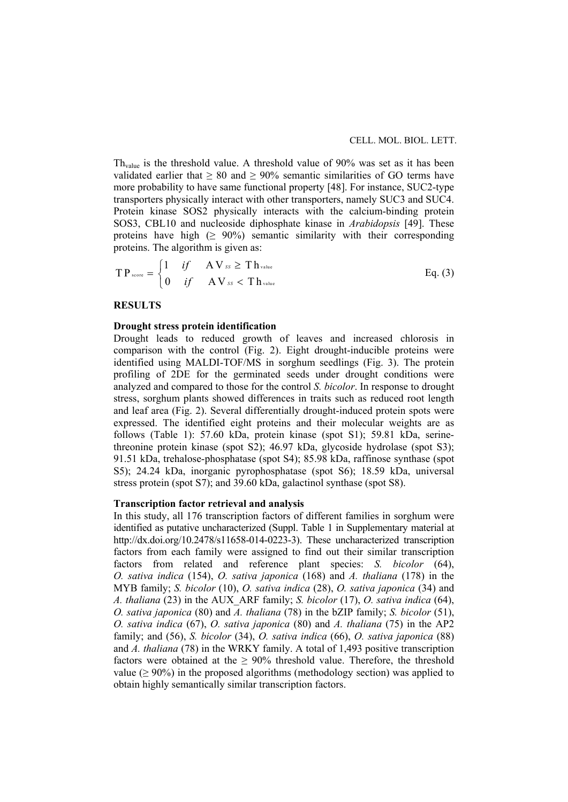$Th<sub>value</sub>$  is the threshold value. A threshold value of 90% was set as it has been validated earlier that  $\geq 80$  and  $\geq 90\%$  semantic similarities of GO terms have more probability to have same functional property [48]. For instance, SUC2-type transporters physically interact with other transporters, namely SUC3 and SUC4. Protein kinase SOS2 physically interacts with the calcium-binding protein SOS3, CBL10 and nucleoside diphosphate kinase in *Arabidopsis* [49]. These proteins have high  $(≥ 90%)$  semantic similarity with their corresponding proteins. The algorithm is given as:

$$
TP_{\text{score}} = \begin{cases} 1 & \text{if } A V_{\text{ss}} \geq Th_{\text{value}} \\ 0 & \text{if } A V_{\text{ss}} < Th_{\text{value}} \end{cases}
$$
 Eq. (3)

### **RESULTS**

### **Drought stress protein identification**

Drought leads to reduced growth of leaves and increased chlorosis in comparison with the control (Fig. 2). Eight drought-inducible proteins were identified using MALDI-TOF/MS in sorghum seedlings (Fig. 3). The protein profiling of 2DE for the germinated seeds under drought conditions were analyzed and compared to those for the control *S. bicolor*. In response to drought stress, sorghum plants showed differences in traits such as reduced root length and leaf area (Fig. 2). Several differentially drought-induced protein spots were expressed. The identified eight proteins and their molecular weights are as follows (Table 1): 57.60 kDa, protein kinase (spot S1); 59.81 kDa, serinethreonine protein kinase (spot S2); 46.97 kDa, glycoside hydrolase (spot S3); 91.51 kDa, trehalose-phosphatase (spot S4); 85.98 kDa, raffinose synthase (spot S5); 24.24 kDa, inorganic pyrophosphatase (spot S6); 18.59 kDa, universal stress protein (spot S7); and 39.60 kDa, galactinol synthase (spot S8).

### **Transcription factor retrieval and analysis**

In this study, all 176 transcription factors of different families in sorghum were identified as putative uncharacterized (Suppl. Table 1 in Supplementary material at http://dx.doi.org/10.2478/s11658-014-0223-3). These uncharacterized transcription factors from each family were assigned to find out their similar transcription factors from related and reference plant species: *S. bicolor* (64), *O. sativa indica* (154), *O. sativa japonica* (168) and *A. thaliana* (178) in the MYB family; *S. bicolor* (10), *O. sativa indica* (28), *O. sativa japonica* (34) and *A. thaliana* (23) in the AUX\_ARF family; *S. bicolor* (17), *O. sativa indica* (64), *O. sativa japonica* (80) and *A. thaliana* (78) in the bZIP family; *S. bicolor* (51), *O. sativa indica* (67), *O. sativa japonica* (80) and *A. thaliana* (75) in the AP2 family; and (56), *S. bicolor* (34), *O. sativa indica* (66), *O. sativa japonica* (88) and *A. thaliana* (78) in the WRKY family. A total of 1,493 positive transcription factors were obtained at the  $\geq 90\%$  threshold value. Therefore, the threshold value ( $\geq 90\%$ ) in the proposed algorithms (methodology section) was applied to obtain highly semantically similar transcription factors.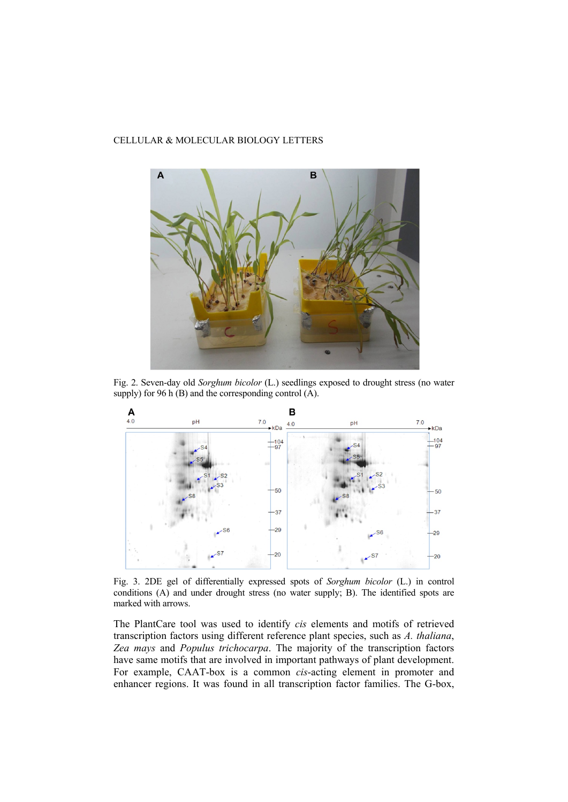

Fig. 2. Seven-day old *Sorghum bicolor* (L.) seedlings exposed to drought stress (no water supply) for 96 h (B) and the corresponding control (A).



Fig. 3. 2DE gel of differentially expressed spots of *Sorghum bicolor* (L.) in control conditions (A) and under drought stress (no water supply; B). The identified spots are marked with arrows.

The PlantCare tool was used to identify *cis* elements and motifs of retrieved transcription factors using different reference plant species, such as *A. thaliana*, *Zea mays* and *Populus trichocarpa*. The majority of the transcription factors have same motifs that are involved in important pathways of plant development. For example, CAAT-box is a common *cis*-acting element in promoter and enhancer regions. It was found in all transcription factor families. The G-box,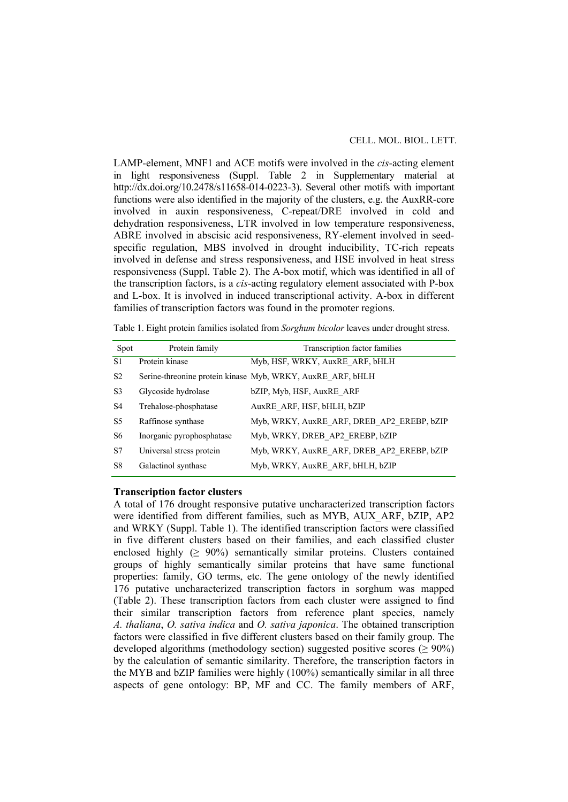### CELL. MOL. BIOL. LETT.

LAMP-element, MNF1 and ACE motifs were involved in the *cis*-acting element in light responsiveness (Suppl. Table 2 in Supplementary material at http://dx.doi.org/10.2478/s11658-014-0223-3). Several other motifs with important functions were also identified in the majority of the clusters, e.g. the AuxRR-core involved in auxin responsiveness, C-repeat/DRE involved in cold and dehydration responsiveness, LTR involved in low temperature responsiveness, ABRE involved in abscisic acid responsiveness, RY-element involved in seedspecific regulation, MBS involved in drought inducibility, TC-rich repeats involved in defense and stress responsiveness, and HSE involved in heat stress responsiveness (Suppl. Table 2). The A-box motif, which was identified in all of the transcription factors, is a *cis*-acting regulatory element associated with P-box and L-box. It is involved in induced transcriptional activity. A-box in different families of transcription factors was found in the promoter regions.

Table 1. Eight protein families isolated from *Sorghum bicolor* leaves under drought stress.

| Spot           | Protein family            | Transcription factor families                              |
|----------------|---------------------------|------------------------------------------------------------|
| S <sub>1</sub> | Protein kinase            | Myb, HSF, WRKY, AuxRE ARF, bHLH                            |
| S <sub>2</sub> |                           | Serine-threonine protein kinase Myb, WRKY, AuxRE ARF, bHLH |
| S3             | Glycoside hydrolase       | bZIP, Myb, HSF, AuxRE ARF                                  |
| S4             | Trehalose-phosphatase     | AuxRE ARF, HSF, bHLH, bZIP                                 |
| S5             | Raffinose synthase        | Myb, WRKY, AuxRE ARF, DREB AP2 EREBP, bZIP                 |
| S6             | Inorganic pyrophosphatase | Myb, WRKY, DREB AP2 EREBP, bZIP                            |
| S7             | Universal stress protein  | Myb, WRKY, AuxRE ARF, DREB AP2 EREBP, bZIP                 |
| S8             | Galactinol synthase       | Myb, WRKY, AuxRE ARF, bHLH, bZIP                           |

#### **Transcription factor clusters**

A total of 176 drought responsive putative uncharacterized transcription factors were identified from different families, such as MYB, AUX\_ARF, bZIP, AP2 and WRKY (Suppl. Table 1). The identified transcription factors were classified in five different clusters based on their families, and each classified cluster enclosed highly  $(≥ 90%)$  semantically similar proteins. Clusters contained groups of highly semantically similar proteins that have same functional properties: family, GO terms, etc. The gene ontology of the newly identified 176 putative uncharacterized transcription factors in sorghum was mapped (Table 2). These transcription factors from each cluster were assigned to find their similar transcription factors from reference plant species, namely *A. thaliana*, *O. sativa indica* and *O. sativa japonica*. The obtained transcription factors were classified in five different clusters based on their family group. The developed algorithms (methodology section) suggested positive scores ( $\geq 90\%$ ) by the calculation of semantic similarity. Therefore, the transcription factors in the MYB and bZIP families were highly (100%) semantically similar in all three aspects of gene ontology: BP, MF and CC. The family members of ARF,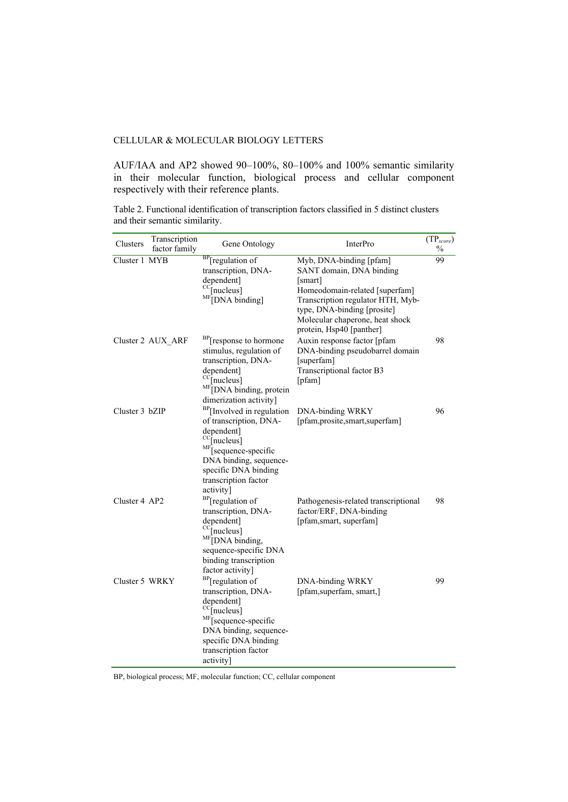AUF/IAA and AP2 showed 90–100%, 80–100% and 100% semantic similarity in their molecular function, biological process and cellular component respectively with their reference plants.

| Transcription<br>Clusters<br>factor family | Gene Ontology                                                                                                                                                                                                                              | <b>InterPro</b>                                                                                                                                                                                                                     | $\left(\text{TP}_{score}\right)$<br>$\frac{0}{0}$ |
|--------------------------------------------|--------------------------------------------------------------------------------------------------------------------------------------------------------------------------------------------------------------------------------------------|-------------------------------------------------------------------------------------------------------------------------------------------------------------------------------------------------------------------------------------|---------------------------------------------------|
| Cluster 1 MYB                              | <sup>BP</sup> [regulation of<br>transcription, DNA-<br>dependent]<br>$\rm{^{CC}}$ [nucleus]<br>$\mathrm{MF}$ [DNA binding]                                                                                                                 | Myb, DNA-binding [pfam]<br>SANT domain, DNA binding<br> smart <br>Homeodomain-related [superfam]<br>Transcription regulator HTH, Myb-<br>type, DNA-binding [prosite]<br>Molecular chaperone, heat shock<br>protein, Hsp40 [panther] | 99                                                |
| Cluster 2 AUX_ARF                          | <sup>BP</sup> [response to hormone<br>stimulus, regulation of<br>transcription, DNA-<br>dependent]<br>$\mathrm{CC}$ [nucleus]<br><sup>MF</sup> [DNA binding, protein<br>dimerization activity]                                             | Auxin response factor [pfam<br>DNA-binding pseudobarrel domain<br>[superfam]<br>Transcriptional factor B3<br>[pfam]                                                                                                                 | 98                                                |
| Cluster 3 bZIP                             | <sup>BP</sup> [Involved in regulation<br>of transcription, DNA-<br>dependent]<br>$\text{cc}_{\text{[nucleus]}}$<br><sup>MF</sup> [sequence-specific<br>DNA binding, sequence-<br>specific DNA binding<br>transcription factor<br>activity] | DNA-binding WRKY<br>[pfam,prosite,smart,superfam]                                                                                                                                                                                   | 96                                                |
| Cluster 4 AP2                              | <sup>BP</sup> [regulation of<br>transcription, DNA-<br>dependent]<br><sup>CC</sup> [nucleus]<br>MF <sub>DNA</sub> binding,<br>sequence-specific DNA<br>binding transcription<br>factor activity]                                           | Pathogenesis-related transcriptional<br>factor/ERF, DNA-binding<br>[pfam,smart, superfam]                                                                                                                                           | 98                                                |
| Cluster 5 WRKY                             | <sup>BP</sup> [regulation of<br>transcription, DNA-<br>dependent]<br>$\text{CC}$ [nucleus]<br>MF <sub>Sequence-specific</sub><br>DNA binding, sequence-<br>specific DNA binding<br>transcription factor<br>activity]                       | <b>DNA-binding WRKY</b><br>[pfam,superfam, smart,]                                                                                                                                                                                  | 99                                                |

Table 2. Functional identification of transcription factors classified in 5 distinct clusters and their semantic similarity.

BP, biological process; MF, molecular function; CC, cellular component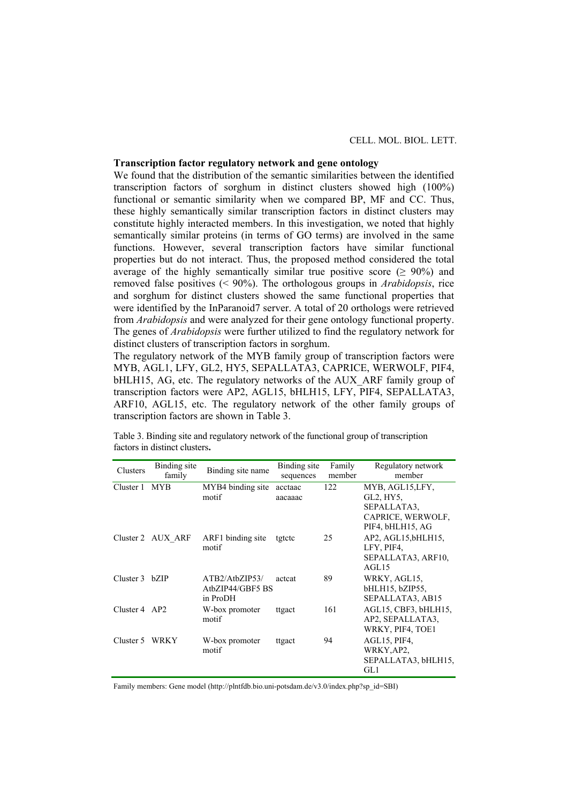# **Transcription factor regulatory network and gene ontology**

We found that the distribution of the semantic similarities between the identified transcription factors of sorghum in distinct clusters showed high (100%) functional or semantic similarity when we compared BP, MF and CC. Thus, these highly semantically similar transcription factors in distinct clusters may constitute highly interacted members. In this investigation, we noted that highly semantically similar proteins (in terms of GO terms) are involved in the same functions. However, several transcription factors have similar functional properties but do not interact. Thus, the proposed method considered the total average of the highly semantically similar true positive score  $( \geq 90\%)$  and removed false positives (< 90%). The orthologous groups in *Arabidopsis*, rice and sorghum for distinct clusters showed the same functional properties that were identified by the InParanoid7 server. A total of 20 orthologs were retrieved from *Arabidopsis* and were analyzed for their gene ontology functional property. The genes of *Arabidopsis* were further utilized to find the regulatory network for distinct clusters of transcription factors in sorghum.

The regulatory network of the MYB family group of transcription factors were MYB, AGL1, LFY, GL2, HY5, SEPALLATA3, CAPRICE, WERWOLF, PIF4, bHLH15, AG, etc. The regulatory networks of the AUX ARF family group of transcription factors were AP2, AGL15, bHLH15, LFY, PIF4, SEPALLATA3, ARF10, AGL15, etc. The regulatory network of the other family groups of transcription factors are shown in Table 3.

| Clusters        | Binding site<br>family | Binding site name                              | Binding site<br>sequences | Family<br>member | Regulatory network<br>member                                                               |
|-----------------|------------------------|------------------------------------------------|---------------------------|------------------|--------------------------------------------------------------------------------------------|
| Cluster 1 MYB   |                        | MYB4 binding site<br>motif                     | acctaac<br>aacaaac        | 122              | MYB, AGL15,LFY,<br>$GL2$ , $HY5$ ,<br>SEPALLATA3.<br>CAPRICE, WERWOLF,<br>PIF4, bHLH15, AG |
|                 | Cluster 2 AUX ARF      | ARF1 binding site<br>motif                     | tgtctc                    | 25               | AP2, AGL15, bHLH15,<br>LFY, PIF4,<br>SEPALLATA3, ARF10,<br>AGL15                           |
| Cluster 3 bZIP  |                        | ATB2/AtbZIP53/<br>AtbZIP44/GBF5 BS<br>in ProDH | acteat                    | 89               | WRKY, AGL15,<br>bHLH15, bZIP55,<br>SEPALLATA3, AB15                                        |
| Cluster $4$ AP2 |                        | W-box promoter<br>motif                        | ttgact                    | 161              | AGL15, CBF3, bHLH15,<br>AP2, SEPALLATA3,<br>WRKY, PIF4, TOE1                               |
| Cluster 5       | <b>WRKY</b>            | W-box promoter<br>motif                        | ttgact                    | 94               | AGL15, PIF4,<br>WRKY, AP2,<br>SEPALLATA3, bHLH15,<br>GL1                                   |

Table 3. Binding site and regulatory network of the functional group of transcription factors in distinct clusters**.** 

Family members: Gene model (http://plntfdb.bio.uni-potsdam.de/v3.0/index.php?sp\_id=SBI)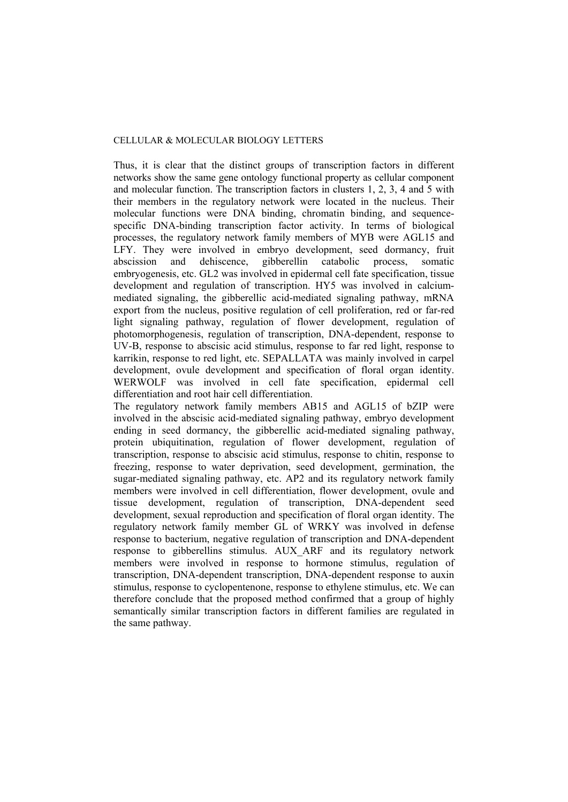Thus, it is clear that the distinct groups of transcription factors in different networks show the same gene ontology functional property as cellular component and molecular function. The transcription factors in clusters 1, 2, 3, 4 and 5 with their members in the regulatory network were located in the nucleus. Their molecular functions were DNA binding, chromatin binding, and sequencespecific DNA-binding transcription factor activity. In terms of biological processes, the regulatory network family members of MYB were AGL15 and LFY. They were involved in embryo development, seed dormancy, fruit abscission and dehiscence, gibberellin catabolic process, somatic embryogenesis, etc. GL2 was involved in epidermal cell fate specification, tissue development and regulation of transcription. HY5 was involved in calciummediated signaling, the gibberellic acid-mediated signaling pathway, mRNA export from the nucleus, positive regulation of cell proliferation, red or far-red light signaling pathway, regulation of flower development, regulation of photomorphogenesis, regulation of transcription, DNA-dependent, response to UV-B, response to abscisic acid stimulus, response to far red light, response to karrikin, response to red light, etc. SEPALLATA was mainly involved in carpel development, ovule development and specification of floral organ identity. WERWOLF was involved in cell fate specification, epidermal cell differentiation and root hair cell differentiation.

The regulatory network family members AB15 and AGL15 of bZIP were involved in the abscisic acid-mediated signaling pathway, embryo development ending in seed dormancy, the gibberellic acid-mediated signaling pathway, protein ubiquitination, regulation of flower development, regulation of transcription, response to abscisic acid stimulus, response to chitin, response to freezing, response to water deprivation, seed development, germination, the sugar-mediated signaling pathway, etc. AP2 and its regulatory network family members were involved in cell differentiation, flower development, ovule and tissue development, regulation of transcription, DNA-dependent seed development, sexual reproduction and specification of floral organ identity. The regulatory network family member GL of WRKY was involved in defense response to bacterium, negative regulation of transcription and DNA-dependent response to gibberellins stimulus. AUX\_ARF and its regulatory network members were involved in response to hormone stimulus, regulation of transcription, DNA-dependent transcription, DNA-dependent response to auxin stimulus, response to cyclopentenone, response to ethylene stimulus, etc. We can therefore conclude that the proposed method confirmed that a group of highly semantically similar transcription factors in different families are regulated in the same pathway.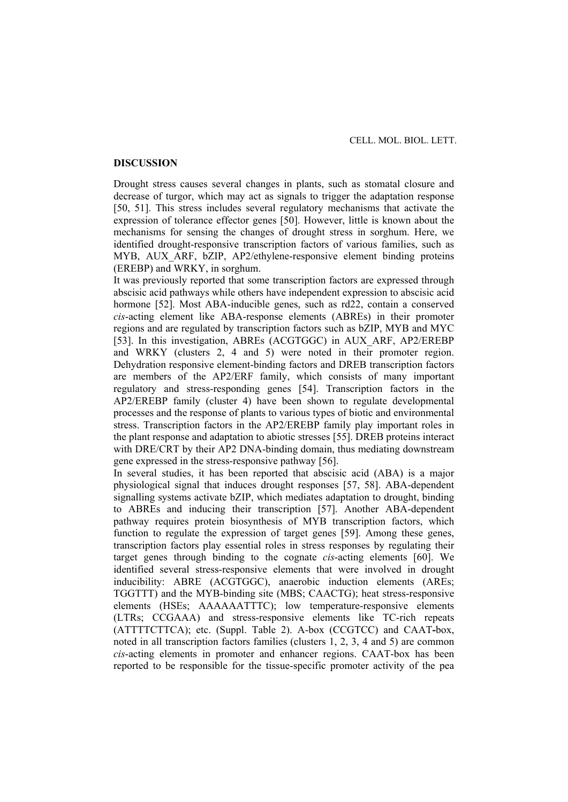### **DISCUSSION**

Drought stress causes several changes in plants, such as stomatal closure and decrease of turgor, which may act as signals to trigger the adaptation response [50, 51]. This stress includes several regulatory mechanisms that activate the expression of tolerance effector genes [50]. However, little is known about the mechanisms for sensing the changes of drought stress in sorghum. Here, we identified drought-responsive transcription factors of various families, such as MYB, AUX ARF, bZIP, AP2/ethylene-responsive element binding proteins (EREBP) and WRKY, in sorghum.

It was previously reported that some transcription factors are expressed through abscisic acid pathways while others have independent expression to abscisic acid hormone [52]. Most ABA-inducible genes, such as rd22, contain a conserved *cis*-acting element like ABA-response elements (ABREs) in their promoter regions and are regulated by transcription factors such as bZIP, MYB and MYC [53]. In this investigation, ABREs (ACGTGGC) in AUX\_ARF, AP2/EREBP and WRKY (clusters 2, 4 and 5) were noted in their promoter region. Dehydration responsive element-binding factors and DREB transcription factors are members of the AP2/ERF family, which consists of many important regulatory and stress-responding genes [54]. Transcription factors in the AP2/EREBP family (cluster 4) have been shown to regulate developmental processes and the response of plants to various types of biotic and environmental stress. Transcription factors in the AP2/EREBP family play important roles in the plant response and adaptation to abiotic stresses [55]. DREB proteins interact with DRE/CRT by their AP2 DNA-binding domain, thus mediating downstream gene expressed in the stress-responsive pathway [56].

In several studies, it has been reported that abscisic acid (ABA) is a major physiological signal that induces drought responses [57, 58]. ABA-dependent signalling systems activate bZIP, which mediates adaptation to drought, binding to ABREs and inducing their transcription [57]. Another ABA-dependent pathway requires protein biosynthesis of MYB transcription factors, which function to regulate the expression of target genes [59]. Among these genes, transcription factors play essential roles in stress responses by regulating their target genes through binding to the cognate *cis*-acting elements [60]. We identified several stress-responsive elements that were involved in drought inducibility: ABRE (ACGTGGC), anaerobic induction elements (AREs; TGGTTT) and the MYB-binding site (MBS; CAACTG); heat stress-responsive elements (HSEs; AAAAAATTTC); low temperature-responsive elements (LTRs; CCGAAA) and stress-responsive elements like TC-rich repeats (ATTTTCTTCA); etc. (Suppl. Table 2). A-box (CCGTCC) and CAAT**-**box, noted in all transcription factors families (clusters 1, 2, 3, 4 and 5) are common *cis*-acting elements in promoter and enhancer regions. CAAT-box has been reported to be responsible for the tissue-specific promoter activity of the pea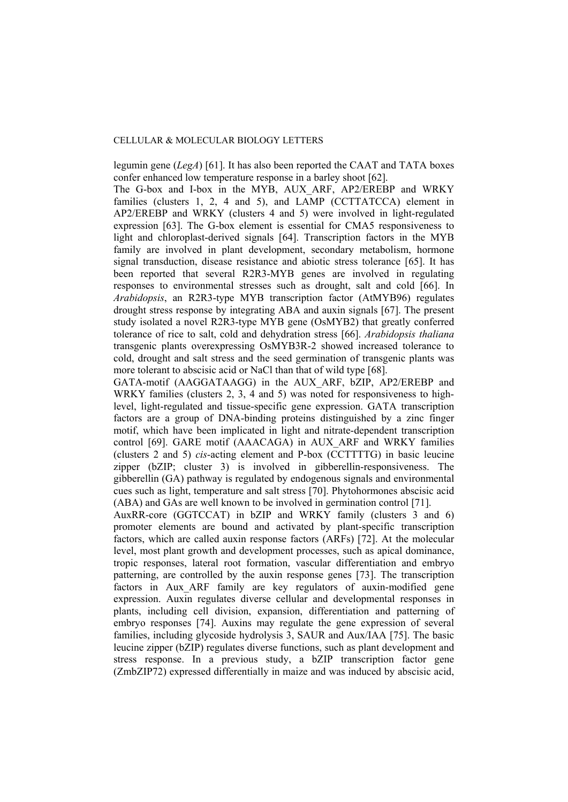legumin gene (*LegA*) [61]. It has also been reported the CAAT and TATA boxes confer enhanced low temperature response in a barley shoot [62].

The G-box and I-box in the MYB, AUX\_ARF, AP2/EREBP and WRKY families (clusters 1, 2, 4 and 5), and LAMP (CCTTATCCA) element in AP2/EREBP and WRKY (clusters 4 and 5) were involved in light-regulated expression [63]. The G-box element is essential for CMA5 responsiveness to light and chloroplast-derived signals [64]. Transcription factors in the MYB family are involved in plant development, secondary metabolism, hormone signal transduction, disease resistance and abiotic stress tolerance [65]. It has been reported that several R2R3-MYB genes are involved in regulating responses to environmental stresses such as drought, salt and cold [66]. In *Arabidopsis*, an R2R3-type MYB transcription factor (AtMYB96) regulates drought stress response by integrating ABA and auxin signals [67]. The present study isolated a novel R2R3-type MYB gene (OsMYB2) that greatly conferred tolerance of rice to salt, cold and dehydration stress [66]. *Arabidopsis thaliana* transgenic plants overexpressing OsMYB3R-2 showed increased tolerance to cold, drought and salt stress and the seed germination of transgenic plants was more tolerant to abscisic acid or NaCl than that of wild type [68].

GATA-motif (AAGGATAAGG) in the AUX\_ARF, bZIP, AP2/EREBP and WRKY families (clusters 2, 3, 4 and 5) was noted for responsiveness to highlevel, light-regulated and tissue-specific gene expression. GATA transcription factors are a group of DNA-binding proteins distinguished by a zinc finger motif, which have been implicated in light and nitrate-dependent transcription control [69]. GARE motif (AAACAGA) in AUX\_ARF and WRKY families (clusters 2 and 5) *cis*-acting element and P-box (CCTTTTG) in basic leucine zipper (bZIP; cluster 3) is involved in gibberellin-responsiveness. The gibberellin (GA) pathway is regulated by endogenous signals and environmental cues such as light, temperature and salt stress [70]. Phytohormones abscisic acid (ABA) and GAs are well known to be involved in germination control [71].

AuxRR-core (GGTCCAT) in bZIP and WRKY family (clusters 3 and 6) promoter elements are bound and activated by plant-specific transcription factors, which are called auxin response factors (ARFs) [72]. At the molecular level, most plant growth and development processes, such as apical dominance, tropic responses, lateral root formation, vascular differentiation and embryo patterning, are controlled by the auxin response genes [73]. The transcription factors in Aux ARF family are key regulators of auxin-modified gene expression. Auxin regulates diverse cellular and developmental responses in plants, including cell division, expansion, differentiation and patterning of embryo responses [74]. Auxins may regulate the gene expression of several families, including glycoside hydrolysis 3, SAUR and Aux/IAA [75]. The basic leucine zipper (bZIP) regulates diverse functions, such as plant development and stress response. In a previous study, a bZIP transcription factor gene (ZmbZIP72) expressed differentially in maize and was induced by abscisic acid,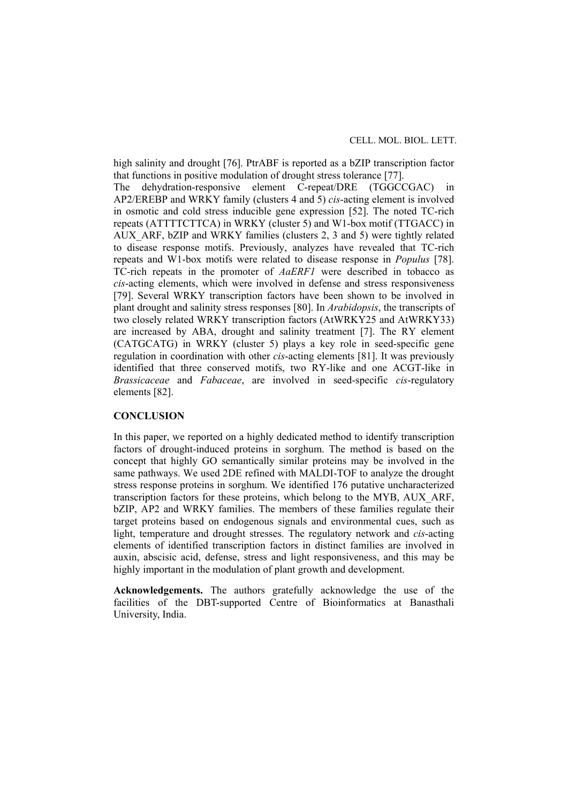high salinity and drought [76]. PtrABF is reported as a bZIP transcription factor that functions in positive modulation of drought stress tolerance [77]. The dehydration-responsive element C-repeat/DRE (TGGCCGAC) in AP2/EREBP and WRKY family (clusters 4 and 5) *cis*-acting element is involved in osmotic and cold stress inducible gene expression [52]. The noted TC-rich repeats (ATTTTCTTCA) in WRKY (cluster 5) and W1-box motif (TTGACC) in AUX\_ARF, bZIP and WRKY families (clusters 2, 3 and 5) were tightly related to disease response motifs. Previously, analyzes have revealed that TC-rich repeats and W1-box motifs were related to disease response in *Populus* [78]. TC-rich repeats in the promoter of *AaERF1* were described in tobacco as *cis*-acting elements, which were involved in defense and stress responsiveness [79]. Several WRKY transcription factors have been shown to be involved in plant drought and salinity stress responses [80]. In *Arabidopsis*, the transcripts of two closely related WRKY transcription factors (AtWRKY25 and AtWRKY33) are increased by ABA, drought and salinity treatment [7]. The RY element (CATGCATG) in WRKY (cluster 5) plays a key role in seed-specific gene regulation in coordination with other *cis*-acting elements [81]. It was previously identified that three conserved motifs, two RY-like and one ACGT-like in *Brassicaceae* and *Fabaceae*, are involved in seed-specific *cis*-regulatory elements [82].

# **CONCLUSION**

In this paper, we reported on a highly dedicated method to identify transcription factors of drought-induced proteins in sorghum. The method is based on the concept that highly GO semantically similar proteins may be involved in the same pathways. We used 2DE refined with MALDI-TOF to analyze the drought stress response proteins in sorghum. We identified 176 putative uncharacterized transcription factors for these proteins, which belong to the MYB, AUX\_ARF, bZIP, AP2 and WRKY families. The members of these families regulate their target proteins based on endogenous signals and environmental cues, such as light, temperature and drought stresses. The regulatory network and *cis*-acting elements of identified transcription factors in distinct families are involved in auxin, abscisic acid, defense, stress and light responsiveness, and this may be highly important in the modulation of plant growth and development.

**Acknowledgements.** The authors gratefully acknowledge the use of the facilities of the DBT-supported Centre of Bioinformatics at Banasthali University, India.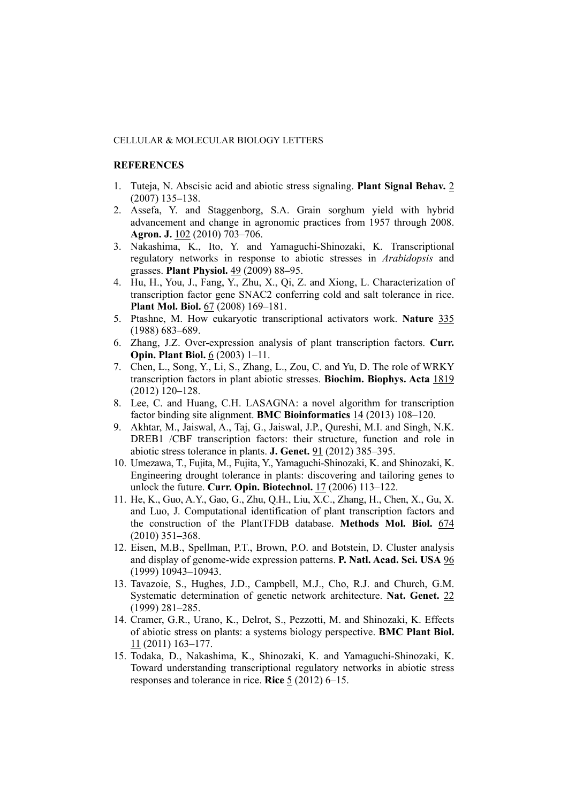# **REFERENCES**

- 1. Tuteja, N. Abscisic acid and abiotic stress signaling. **Plant Signal Behav.** 2 (2007) 135**–**138.
- 2. Assefa, Y. and Staggenborg, S.A. Grain sorghum yield with hybrid advancement and change in agronomic practices from 1957 through 2008. **Agron. J.** 102 (2010) 703–706.
- 3. Nakashima, K., Ito, Y. and Yamaguchi-Shinozaki, K. Transcriptional regulatory networks in response to abiotic stresses in *Arabidopsis* and grasses. **Plant Physiol.** 49 (2009) 88**–**95.
- 4. Hu, H., You, J., Fang, Y., Zhu, X., Qi, Z. and Xiong, L. Characterization of transcription factor gene SNAC2 conferring cold and salt tolerance in rice. **Plant Mol. Biol.** 67 (2008) 169-181.
- 5. Ptashne, M. How eukaryotic transcriptional activators work. **Nature** 335 (1988) 683–689.
- 6. Zhang, J.Z. Over-expression analysis of plant transcription factors. **Curr. Opin. Plant Biol.** 6 (2003) 1–11.
- 7. Chen, L., Song, Y., Li, S., Zhang, L., Zou, C. and Yu, D. The role of WRKY transcription factors in plant abiotic stresses. **Biochim. Biophys. Acta** 1819 (2012) 120**–**128.
- 8. Lee, C. and Huang, C.H. LASAGNA: a novel algorithm for transcription factor binding site alignment. **BMC Bioinformatics** 14 (2013) 108*–*120.
- 9. Akhtar, M., Jaiswal, A., Taj, G., Jaiswal, J.P., Qureshi, M.I. and Singh, N.K. DREB1 /CBF transcription factors: their structure, function and role in abiotic stress tolerance in plants. **J. Genet.** 91 (2012) 385–395.
- 10. Umezawa, T., Fujita, M., Fujita, Y., Yamaguchi-Shinozaki, K. and Shinozaki, K. Engineering drought tolerance in plants: discovering and tailoring genes to unlock the future. **Curr. Opin. Biotechnol.** 17 (2006) 113–122.
- 11. He, K., Guo, A.Y., Gao, G., Zhu, Q.H., Liu, X.C., Zhang, H., Chen, X., Gu, X. and Luo, J. Computational identification of plant transcription factors and the construction of the PlantTFDB database. **Methods Mol. Biol.** 674 (2010) 351**–**368.
- 12. Eisen, M.B., Spellman, P.T., Brown, P.O. and Botstein, D. Cluster analysis and display of genome-wide expression patterns. **P. Natl. Acad. Sci. USA** 96 (1999) 10943–10943.
- 13. Tavazoie, S., Hughes, J.D., Campbell, M.J., Cho, R.J. and Church, G.M. Systematic determination of genetic network architecture. **Nat. Genet.** 22 (1999) 281–285.
- 14. Cramer, G.R., Urano, K., Delrot, S., Pezzotti, M. and Shinozaki, K. Effects of abiotic stress on plants: a systems biology perspective. **BMC Plant Biol.** 11 (2011) 163–177.
- 15. Todaka, D., Nakashima, K., Shinozaki, K. and Yamaguchi-Shinozaki, K. Toward understanding transcriptional regulatory networks in abiotic stress responses and tolerance in rice. **Rice** 5 (2012) 6–15.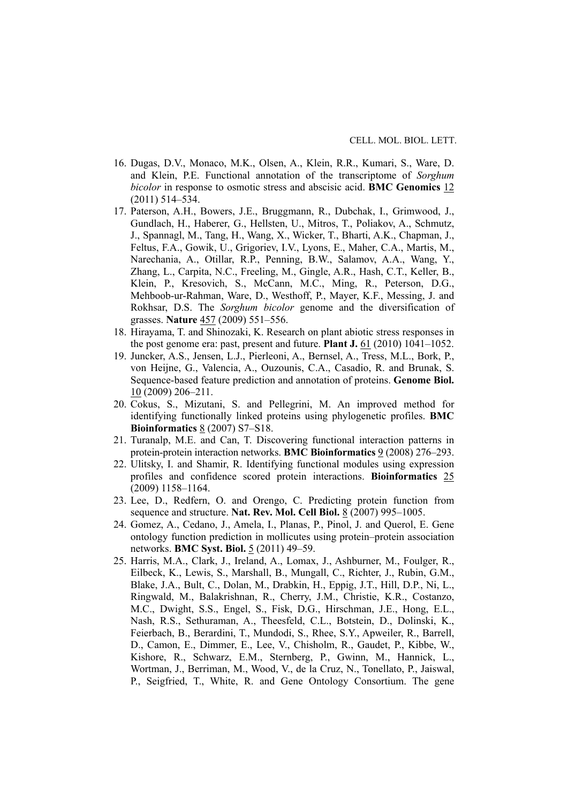- 16. Dugas, D.V., Monaco, M.K., Olsen, A., Klein, R.R., Kumari, S., Ware, D. and Klein, P.E. Functional annotation of the transcriptome of *Sorghum bicolor* in response to osmotic stress and abscisic acid. **BMC Genomics** 12 (2011) 514–534.
- 17. Paterson, A.H., Bowers, J.E., Bruggmann, R., Dubchak, I., Grimwood, J., Gundlach, H., Haberer, G., Hellsten, U., Mitros, T., Poliakov, A., Schmutz, J., Spannagl, M., Tang, H., Wang, X., Wicker, T., Bharti, A.K., Chapman, J., Feltus, F.A., Gowik, U., Grigoriev, I.V., Lyons, E., Maher, C.A., Martis, M., Narechania, A., Otillar, R.P., Penning, B.W., Salamov, A.A., Wang, Y., Zhang, L., Carpita, N.C., Freeling, M., Gingle, A.R., Hash, C.T., Keller, B., Klein, P., Kresovich, S., McCann, M.C., Ming, R., Peterson, D.G., Mehboob-ur-Rahman, Ware, D., Westhoff, P., Mayer, K.F., Messing, J. and Rokhsar, D.S. The *Sorghum bicolor* genome and the diversification of grasses. **Nature** 457 (2009) 551–556.
- 18. Hirayama, T. and Shinozaki, K. Research on plant abiotic stress responses in the post genome era: past, present and future. **Plant J.** 61 (2010) 1041–1052.
- 19. Juncker, A.S., Jensen, L.J., Pierleoni, A., Bernsel, A., Tress, M.L., Bork, P., von Heijne, G., Valencia, A., Ouzounis, C.A., Casadio, R. and Brunak, S. Sequence-based feature prediction and annotation of proteins. **Genome Biol.**  10 (2009) 206–211.
- 20. Cokus, S., Mizutani, S. and Pellegrini, M. An improved method for identifying functionally linked proteins using phylogenetic profiles. **BMC Bioinformatics** 8 (2007) S7–S18.
- 21. Turanalp, M.E. and Can, T. Discovering functional interaction patterns in protein-protein interaction networks. **BMC Bioinformatics** 9 (2008) 276–293.
- 22. Ulitsky, I. and Shamir, R. Identifying functional modules using expression profiles and confidence scored protein interactions. **Bioinformatics** 25 (2009) 1158–1164.
- 23. Lee, D., Redfern, O. and Orengo, C. Predicting protein function from sequence and structure. **Nat. Rev. Mol. Cell Biol.** 8 (2007) 995–1005.
- 24. Gomez, A., Cedano, J., Amela, I., Planas, P., Pinol, J. and Querol, E. Gene ontology function prediction in mollicutes using protein–protein association networks. **BMC Syst. Biol.** 5 (2011) 49–59.
- 25. Harris, M.A., Clark, J., Ireland, A., Lomax, J., Ashburner, M., Foulger, R., Eilbeck, K., Lewis, S., Marshall, B., Mungall, C., Richter, J., Rubin, G.M., Blake, J.A., Bult, C., Dolan, M., Drabkin, H., Eppig, J.T., Hill, D.P., Ni, L., Ringwald, M., Balakrishnan, R., Cherry, J.M., Christie, K.R., Costanzo, M.C., Dwight, S.S., Engel, S., Fisk, D.G., Hirschman, J.E., Hong, E.L., Nash, R.S., Sethuraman, A., Theesfeld, C.L., Botstein, D., Dolinski, K., Feierbach, B., Berardini, T., Mundodi, S., Rhee, S.Y., Apweiler, R., Barrell, D., Camon, E., Dimmer, E., Lee, V., Chisholm, R., Gaudet, P., Kibbe, W., Kishore, R., Schwarz, E.M., Sternberg, P., Gwinn, M., Hannick, L., Wortman, J., Berriman, M., Wood, V., de la Cruz, N., Tonellato, P., Jaiswal, P., Seigfried, T., White, R. and Gene Ontology Consortium. The gene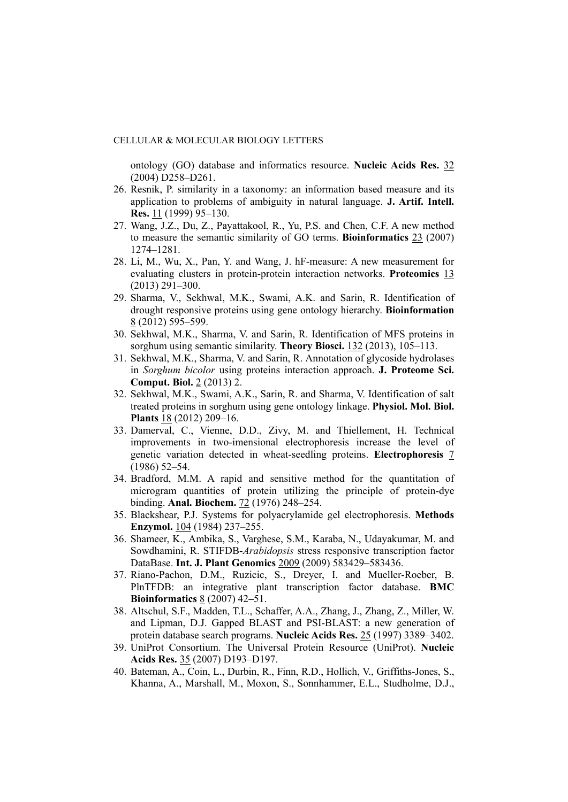ontology (GO) database and informatics resource. **Nucleic Acids Res.** 32 (2004) D258–D261.

- 26. Resnik, P. similarity in a taxonomy: an information based measure and its application to problems of ambiguity in natural language. **J. Artif. Intell. Res.** 11 (1999) 95–130.
- 27. Wang, J.Z., Du, Z., Payattakool, R., Yu, P.S. and Chen, C.F. A new method to measure the semantic similarity of GO terms. **Bioinformatics** 23 (2007) 1274–1281.
- 28. Li, M., Wu, X., Pan, Y. and Wang, J. hF-measure: A new measurement for evaluating clusters in protein-protein interaction networks. **Proteomics** 13 (2013) 291–300.
- 29. Sharma, V., Sekhwal, M.K., Swami, A.K. and Sarin, R. Identification of drought responsive proteins using gene ontology hierarchy. **Bioinformation** 8 (2012) 595–599.
- 30. Sekhwal, M.K., Sharma, V. and Sarin, R. Identification of MFS proteins in sorghum using semantic similarity. **Theory Biosci.** 132 (2013), 105–113.
- 31. Sekhwal, M.K., Sharma, V. and Sarin, R. Annotation of glycoside hydrolases in *Sorghum bicolor* using proteins interaction approach. **J. Proteome Sci. Comput. Biol.** 2 (2013) 2.
- 32. Sekhwal, M.K., Swami, A.K., Sarin, R. and Sharma, V. Identification of salt treated proteins in sorghum using gene ontology linkage. **Physiol. Mol. Biol. Plants** 18 (2012) 209–16.
- 33. Damerval, C., Vienne, D.D., Zivy, M. and Thiellement, H. Technical improvements in two-imensional electrophoresis increase the level of genetic variation detected in wheat-seedling proteins. **Electrophoresis** 7 (1986) 52–54.
- 34. Bradford, M.M. A rapid and sensitive method for the quantitation of microgram quantities of protein utilizing the principle of protein-dye binding. **Anal. Biochem.** 72 (1976) 248–254.
- 35. Blackshear, P.J. Systems for polyacrylamide gel electrophoresis. **Methods Enzymol.** 104 (1984) 237–255.
- 36. Shameer, K., Ambika, S., Varghese, S.M., Karaba, N., Udayakumar, M. and Sowdhamini, R. STIFDB-*Arabidopsis* stress responsive transcription factor DataBase. **Int. J. Plant Genomics** 2009 (2009) 583429**–**583436.
- 37. Riano-Pachon, D.M., Ruzicic, S., Dreyer, I. and Mueller-Roeber, B. PlnTFDB: an integrative plant transcription factor database. **BMC Bioinformatics** 8 (2007) 42**–**51.
- 38. Altschul, S.F., Madden, T.L., Schaffer, A.A., Zhang, J., Zhang, Z., Miller, W. and Lipman, D.J. Gapped BLAST and PSI-BLAST: a new generation of protein database search programs. **Nucleic Acids Res.** 25 (1997) 3389–3402.
- 39. UniProt Consortium. The Universal Protein Resource (UniProt). **Nucleic Acids Res.** 35 (2007) D193–D197.
- 40. Bateman, A., Coin, L., Durbin, R., Finn, R.D., Hollich, V., Griffiths-Jones, S., Khanna, A., Marshall, M., Moxon, S., Sonnhammer, E.L., Studholme, D.J.,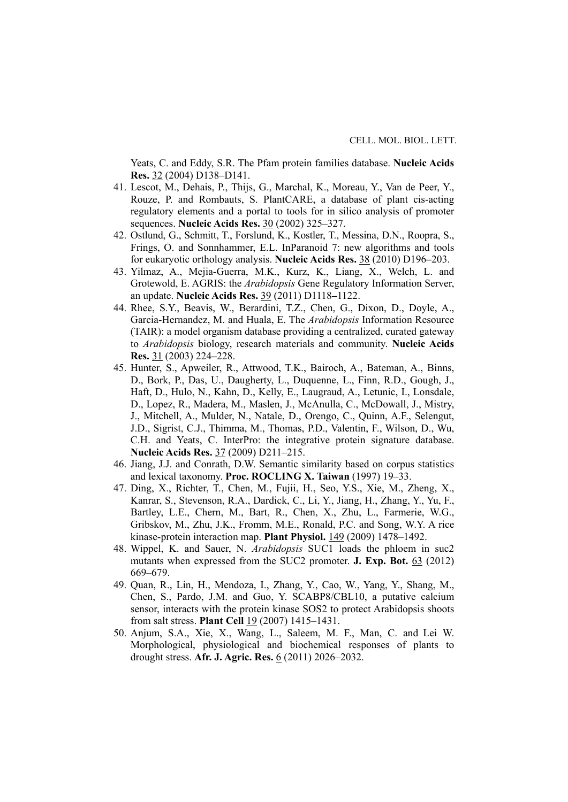Yeats, C. and Eddy, S.R. The Pfam protein families database. **Nucleic Acids Res.** 32 (2004) D138–D141.

- 41. Lescot, M., Dehais, P., Thijs, G., Marchal, K., Moreau, Y., Van de Peer, Y., Rouze, P. and Rombauts, S. PlantCARE, a database of plant cis-acting regulatory elements and a portal to tools for in silico analysis of promoter sequences. **Nucleic Acids Res.** 30 (2002) 325*–*327.
- 42. Ostlund, G., Schmitt, T., Forslund, K., Kostler, T., Messina, D.N., Roopra, S., Frings, O. and Sonnhammer, E.L. InParanoid 7: new algorithms and tools for eukaryotic orthology analysis. **Nucleic Acids Res.** 38 (2010) D196**–**203.
- 43. Yilmaz, A., Mejia-Guerra, M.K., Kurz, K., Liang, X., Welch, L. and Grotewold, E. AGRIS: the *Arabidopsis* Gene Regulatory Information Server, an update. **Nucleic Acids Res.** 39 (2011) D1118**–**1122.
- 44. Rhee, S.Y., Beavis, W., Berardini, T.Z., Chen, G., Dixon, D., Doyle, A., Garcia-Hernandez, M. and Huala, E. The *Arabidopsis* Information Resource (TAIR): a model organism database providing a centralized, curated gateway to *Arabidopsis* biology, research materials and community. **Nucleic Acids Res.** 31 (2003) 224**–**228.
- 45. Hunter, S., Apweiler, R., Attwood, T.K., Bairoch, A., Bateman, A., Binns, D., Bork, P., Das, U., Daugherty, L., Duquenne, L., Finn, R.D., Gough, J., Haft, D., Hulo, N., Kahn, D., Kelly, E., Laugraud, A., Letunic, I., Lonsdale, D., Lopez, R., Madera, M., Maslen, J., McAnulla, C., McDowall, J., Mistry, J., Mitchell, A., Mulder, N., Natale, D., Orengo, C., Quinn, A.F., Selengut, J.D., Sigrist, C.J., Thimma, M., Thomas, P.D., Valentin, F., Wilson, D., Wu, C.H. and Yeats, C. InterPro: the integrative protein signature database. **Nucleic Acids Res.** 37 (2009) D211–215.
- 46. Jiang, J.J. and Conrath, D.W. Semantic similarity based on corpus statistics and lexical taxonomy. **Proc. ROCLING X. Taiwan** (1997) 19–33.
- 47. Ding, X., Richter, T., Chen, M., Fujii, H., Seo, Y.S., Xie, M., Zheng, X., Kanrar, S., Stevenson, R.A., Dardick, C., Li, Y., Jiang, H., Zhang, Y., Yu, F., Bartley, L.E., Chern, M., Bart, R., Chen, X., Zhu, L., Farmerie, W.G., Gribskov, M., Zhu, J.K., Fromm, M.E., Ronald, P.C. and Song, W.Y. A rice kinase-protein interaction map. **Plant Physiol.** 149 (2009) 1478–1492.
- 48. Wippel, K. and Sauer, N. *Arabidopsis* SUC1 loads the phloem in suc2 mutants when expressed from the SUC2 promoter. **J. Exp. Bot.** 63 (2012) 669–679.
- 49. Quan, R., Lin, H., Mendoza, I., Zhang, Y., Cao, W., Yang, Y., Shang, M., Chen, S., Pardo, J.M. and Guo, Y. SCABP8/CBL10, a putative calcium sensor, interacts with the protein kinase SOS2 to protect Arabidopsis shoots from salt stress. **Plant Cell** 19 (2007) 1415–1431.
- 50. Anjum, S.A., Xie, X., Wang, L., Saleem, M. F., Man, C. and Lei W. Morphological, physiological and biochemical responses of plants to drought stress. **Afr. J. Agric. Res.** 6 (2011) 2026–2032.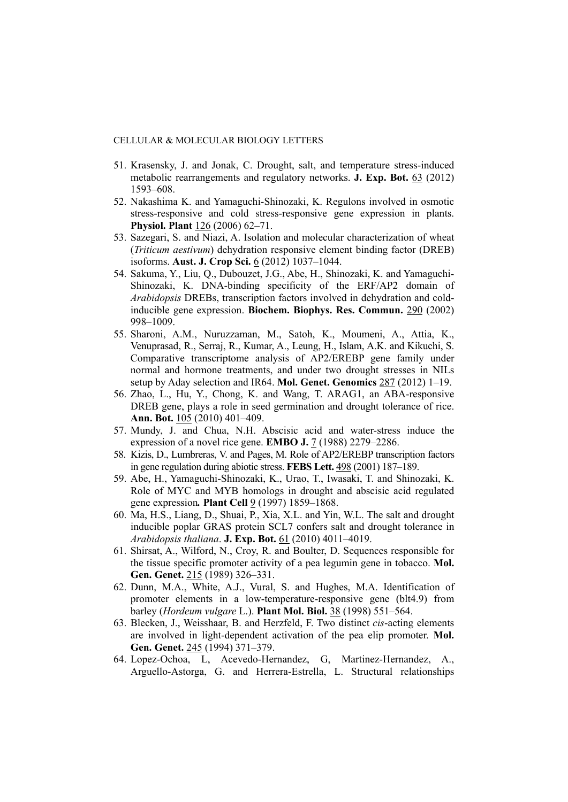- 51. Krasensky, J. and Jonak, C. Drought, salt, and temperature stress-induced metabolic rearrangements and regulatory networks. **J. Exp. Bot.** 63 (2012) 1593*–*608.
- 52. Nakashima K. and Yamaguchi-Shinozaki, K. Regulons involved in osmotic stress-responsive and cold stress-responsive gene expression in plants. **Physiol. Plant** 126 (2006) 62–71.
- 53. Sazegari, S. and Niazi, A. Isolation and molecular characterization of wheat (*Triticum aestivum*) dehydration responsive element binding factor (DREB) isoforms. **Aust. J. Crop Sci.** 6 (2012) 1037–1044.
- 54. Sakuma, Y., Liu, Q., Dubouzet, J.G., Abe, H., Shinozaki, K. and Yamaguchi-Shinozaki, K. DNA-binding specificity of the ERF/AP2 domain of *Arabidopsis* DREBs, transcription factors involved in dehydration and coldinducible gene expression. **Biochem. Biophys. Res. Commun.** 290 (2002) 998–1009.
- 55. Sharoni, A.M., Nuruzzaman, M., Satoh, K., Moumeni, A., Attia, K., Venuprasad, R., Serraj, R., Kumar, A., Leung, H., Islam, A.K. and Kikuchi, S. Comparative transcriptome analysis of AP2/EREBP gene family under normal and hormone treatments, and under two drought stresses in NILs setup by Aday selection and IR64. **Mol. Genet. Genomics** 287 (2012) 1–19.
- 56. Zhao, L., Hu, Y., Chong, K. and Wang, T. ARAG1, an ABA-responsive DREB gene, plays a role in seed germination and drought tolerance of rice. **Ann. Bot.** 105 (2010) 401–409.
- 57. Mundy, J. and Chua, N.H. Abscisic acid and water-stress induce the expression of a novel rice gene. **EMBO J.** 7 (1988) 2279–2286.
- 58. Kizis, D., Lumbreras, V. and Pages, M. Role of AP2/EREBP transcription factors in gene regulation during abiotic stress. **FEBS Lett.** 498 (2001) 187*–*189.
- 59. Abe, H., Yamaguchi-Shinozaki, K., Urao, T., Iwasaki, T. and Shinozaki, K. Role of MYC and MYB homologs in drought and abscisic acid regulated gene expression*.* **Plant Cell** 9 (1997) 1859*–*1868.
- 60. Ma, H.S., Liang, D., Shuai, P., Xia, X.L. and Yin, W.L. The salt and drought inducible poplar GRAS protein SCL7 confers salt and drought tolerance in *Arabidopsis thaliana*. **J. Exp. Bot.** 61 (2010) 4011–4019.
- 61. Shirsat, A., Wilford, N., Croy, R. and Boulter, D. Sequences responsible for the tissue specific promoter activity of a pea legumin gene in tobacco. **Mol. Gen. Genet.** 215 (1989) 326–331.
- 62. Dunn, M.A., White, A.J., Vural, S. and Hughes, M.A. Identification of promoter elements in a low-temperature-responsive gene (blt4.9) from barley (*Hordeum vulgare* L.). **Plant Mol. Biol.** 38 (1998) 551–564.
- 63. Blecken, J., Weisshaar, B. and Herzfeld, F. Two distinct *cis*-acting elements are involved in light-dependent activation of the pea elip promoter. **Mol. Gen. Genet.** 245 (1994) 371–379.
- 64. Lopez-Ochoa, L, Acevedo-Hernandez, G, Martinez-Hernandez, A., Arguello-Astorga, G. and Herrera-Estrella, L. Structural relationships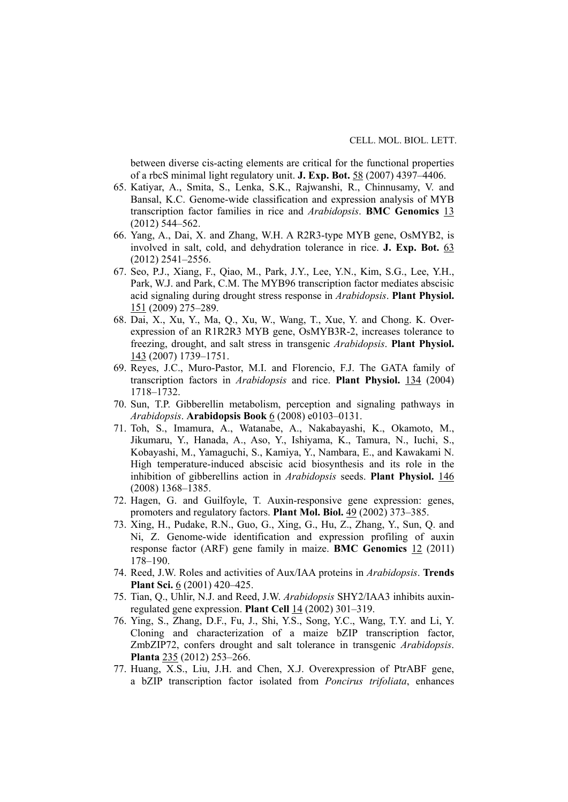between diverse cis-acting elements are critical for the functional properties of a rbcS minimal light regulatory unit. **J. Exp. Bot.** 58 (2007) 4397*–*4406.

- 65. Katiyar, A., Smita, S., Lenka, S.K., Rajwanshi, R., Chinnusamy, V. and Bansal, K.C. Genome-wide classification and expression analysis of MYB transcription factor families in rice and *Arabidopsis*. **BMC Genomics** 13 (2012) 544–562.
- 66. Yang, A., Dai, X. and Zhang, W.H. A R2R3-type MYB gene, OsMYB2, is involved in salt, cold, and dehydration tolerance in rice. **J. Exp. Bot.** 63 (2012) 2541–2556.
- 67. Seo, P.J., Xiang, F., Qiao, M., Park, J.Y., Lee, Y.N., Kim, S.G., Lee, Y.H., Park, W.J. and Park, C.M. The MYB96 transcription factor mediates abscisic acid signaling during drought stress response in *Arabidopsis*. **Plant Physiol.** 151 (2009) 275–289.
- 68. Dai, X., Xu, Y., Ma, Q., Xu, W., Wang, T., Xue, Y. and Chong. K. Overexpression of an R1R2R3 MYB gene, OsMYB3R-2, increases tolerance to freezing, drought, and salt stress in transgenic *Arabidopsis*. **Plant Physiol.** 143 (2007) 1739–1751.
- 69. Reyes, J.C., Muro-Pastor, M.I. and Florencio, F.J. The GATA family of transcription factors in *Arabidopsis* and rice. **Plant Physiol.** 134 (2004) 1718–1732.
- 70. Sun, T.P. Gibberellin metabolism, perception and signaling pathways in *Arabidopsis*. **Arabidopsis Book** 6 (2008) e0103–0131.
- 71. Toh, S., Imamura, A., Watanabe, A., Nakabayashi, K., Okamoto, M., Jikumaru, Y., Hanada, A., Aso, Y., Ishiyama, K., Tamura, N., Iuchi, S., Kobayashi, M., Yamaguchi, S., Kamiya, Y., Nambara, E., and Kawakami N. High temperature-induced abscisic acid biosynthesis and its role in the inhibition of gibberellins action in *Arabidopsis* seeds. **Plant Physiol.** 146 (2008) 1368–1385.
- 72. Hagen, G. and Guilfoyle, T. Auxin-responsive gene expression: genes, promoters and regulatory factors. **Plant Mol. Biol.** 49 (2002) 373–385.
- 73. Xing, H., Pudake, R.N., Guo, G., Xing, G., Hu, Z., Zhang, Y., Sun, Q. and Ni, Z. Genome-wide identification and expression profiling of auxin response factor (ARF) gene family in maize. **BMC Genomics** 12 (2011) 178–190.
- 74. Reed, J.W. Roles and activities of Aux/IAA proteins in *Arabidopsis*. **Trends Plant Sci.** 6 (2001) 420–425.
- 75. Tian, Q., Uhlir, N.J. and Reed, J.W. *Arabidopsis* SHY2/IAA3 inhibits auxinregulated gene expression. **Plant Cell** 14 (2002) 301–319.
- 76. Ying, S., Zhang, D.F., Fu, J., Shi, Y.S., Song, Y.C., Wang, T.Y. and Li, Y. Cloning and characterization of a maize bZIP transcription factor, ZmbZIP72, confers drought and salt tolerance in transgenic *Arabidopsis*. **Planta** 235 (2012) 253–266.
- 77. Huang, X.S., Liu, J.H. and Chen, X.J. Overexpression of PtrABF gene, a bZIP transcription factor isolated from *Poncirus trifoliata*, enhances